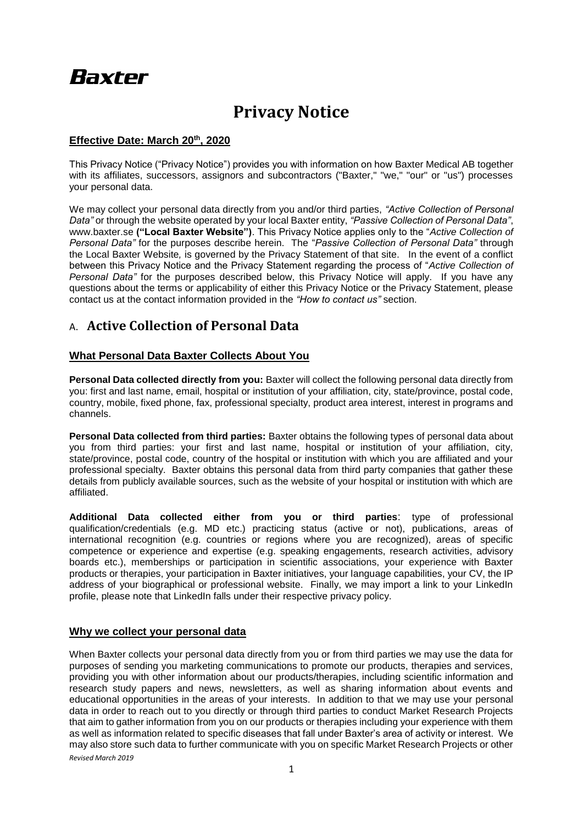# **Baxter**

## **Privacy Notice**

#### **Effective Date: March 20th, 2020**

This Privacy Notice ("Privacy Notice") provides you with information on how Baxter Medical AB together with its affiliates, successors, assignors and subcontractors ("Baxter," "we," "our" or "us") processes your personal data.

We may collect your personal data directly from you and/or third parties, *"Active Collection of Personal Data"* or through the website operated by your local Baxter entity, *"Passive Collection of Personal Data"*, www.baxter.se **("Local Baxter Website")**. This Privacy Notice applies only to the "*Active Collection of Personal Data"* for the purposes describe herein. The "*Passive Collection of Personal Data"* through the Local Baxter Website*,* is governed by the Privacy Statement of that site. In the event of a conflict between this Privacy Notice and the Privacy Statement regarding the process of "*Active Collection of Personal Data"* for the purposes described below, this Privacy Notice will apply. If you have any questions about the terms or applicability of either this Privacy Notice or the Privacy Statement, please contact us at the contact information provided in the *"How to contact us"* section.

### A. **Active Collection of Personal Data**

#### **What Personal Data Baxter Collects About You**

Personal Data collected directly from you: Baxter will collect the following personal data directly from you: first and last name, email, hospital or institution of your affiliation, city, state/province, postal code, country, mobile, fixed phone, fax, professional specialty, product area interest, interest in programs and channels.

**Personal Data collected from third parties:** Baxter obtains the following types of personal data about you from third parties: your first and last name, hospital or institution of your affiliation, city, state/province, postal code, country of the hospital or institution with which you are affiliated and your professional specialty. Baxter obtains this personal data from third party companies that gather these details from publicly available sources, such as the website of your hospital or institution with which are affiliated.

**Additional Data collected either from you or third parties**: type of professional qualification/credentials (e.g. MD etc.) practicing status (active or not), publications, areas of international recognition (e.g. countries or regions where you are recognized), areas of specific competence or experience and expertise (e.g. speaking engagements, research activities, advisory boards etc.), memberships or participation in scientific associations, your experience with Baxter products or therapies, your participation in Baxter initiatives, your language capabilities, your CV, the IP address of your biographical or professional website. Finally, we may import a link to your LinkedIn profile, please note that LinkedIn falls under their respective privacy policy.

#### **Why we collect your personal data**

*Revised March 2019* When Baxter collects your personal data directly from you or from third parties we may use the data for purposes of sending you marketing communications to promote our products, therapies and services, providing you with other information about our products/therapies, including scientific information and research study papers and news, newsletters, as well as sharing information about events and educational opportunities in the areas of your interests. In addition to that we may use your personal data in order to reach out to you directly or through third parties to conduct Market Research Projects that aim to gather information from you on our products or therapies including your experience with them as well as information related to specific diseases that fall under Baxter's area of activity or interest. We may also store such data to further communicate with you on specific Market Research Projects or other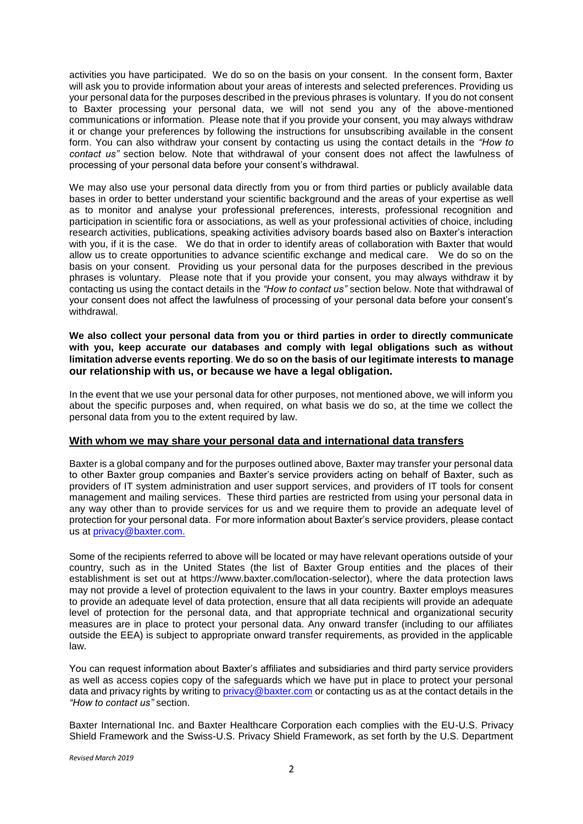activities you have participated. We do so on the basis on your consent. In the consent form, Baxter will ask you to provide information about your areas of interests and selected preferences. Providing us your personal data for the purposes described in the previous phrases is voluntary. If you do not consent to Baxter processing your personal data, we will not send you any of the above-mentioned communications or information. Please note that if you provide your consent, you may always withdraw it or change your preferences by following the instructions for unsubscribing available in the consent form. You can also withdraw your consent by contacting us using the contact details in the *"How to contact us"* section below. Note that withdrawal of your consent does not affect the lawfulness of processing of your personal data before your consent's withdrawal.

We may also use your personal data directly from you or from third parties or publicly available data bases in order to better understand your scientific background and the areas of your expertise as well as to monitor and analyse your professional preferences, interests, professional recognition and participation in scientific fora or associations, as well as your professional activities of choice, including research activities, publications, speaking activities advisory boards based also on Baxter's interaction with you, if it is the case. We do that in order to identify areas of collaboration with Baxter that would allow us to create opportunities to advance scientific exchange and medical care. We do so on the basis on your consent. Providing us your personal data for the purposes described in the previous phrases is voluntary. Please note that if you provide your consent, you may always withdraw it by contacting us using the contact details in the *"How to contact us"* section below. Note that withdrawal of your consent does not affect the lawfulness of processing of your personal data before your consent's withdrawal.

#### **We also collect your personal data from you or third parties in order to directly communicate with you, keep accurate our databases and comply with legal obligations such as without limitation adverse events reporting**. **We do so on the basis of our legitimate interests to manage our relationship with us, or because we have a legal obligation.**

In the event that we use your personal data for other purposes, not mentioned above, we will inform you about the specific purposes and, when required, on what basis we do so, at the time we collect the personal data from you to the extent required by law.

#### **With whom we may share your personal data and international data transfers**

Baxter is a global company and for the purposes outlined above, Baxter may transfer your personal data to other Baxter group companies and Baxter's service providers acting on behalf of Baxter, such as providers of IT system administration and user support services, and providers of IT tools for consent management and mailing services. These third parties are restricted from using your personal data in any way other than to provide services for us and we require them to provide an adequate level of protection for your personal data. For more information about Baxter's service providers, please contact us at privacy@baxter.com.

Some of the recipients referred to above will be located or may have relevant operations outside of your country, such as in the United States (the list of Baxter Group entities and the places of their establishment is set out at https://www.baxter.com/location-selector), where the data protection laws may not provide a level of protection equivalent to the laws in your country. Baxter employs measures to provide an adequate level of data protection, ensure that all data recipients will provide an adequate level of protection for the personal data, and that appropriate technical and organizational security measures are in place to protect your personal data. Any onward transfer (including to our affiliates outside the EEA) is subject to appropriate onward transfer requirements, as provided in the applicable law.

You can request information about Baxter's affiliates and subsidiaries and third party service providers as well as access copies copy of the safeguards which we have put in place to protect your personal data and privacy rights by writing to [privacy@baxter.com](mailto:privacy@baxter.com) or contacting us as at the contact details in the *"How to contact us"* section.

Baxter International Inc. and Baxter Healthcare Corporation each complies with the EU-U.S. Privacy Shield Framework and the Swiss-U.S. Privacy Shield Framework, as set forth by the U.S. Department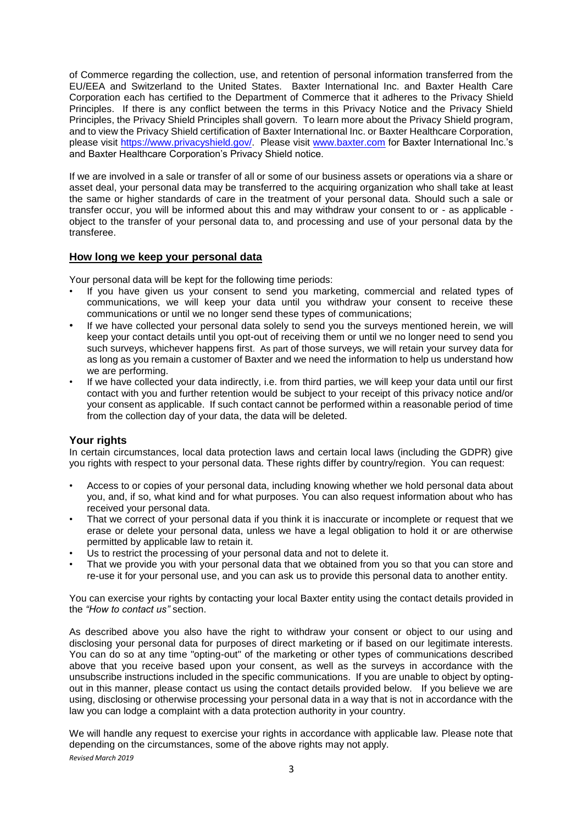of Commerce regarding the collection, use, and retention of personal information transferred from the EU/EEA and Switzerland to the United States. Baxter International Inc. and Baxter Health Care Corporation each has certified to the Department of Commerce that it adheres to the Privacy Shield Principles. If there is any conflict between the terms in this Privacy Notice and the Privacy Shield Principles, the Privacy Shield Principles shall govern. To learn more about the Privacy Shield program, and to view the Privacy Shield certification of Baxter International Inc. or Baxter Healthcare Corporation, please visit [https://www.privacyshield.gov/.](https://www.privacyshield.gov/) Please visit [www.baxter.com](http://www.baxter.com/) for Baxter International Inc.'s and Baxter Healthcare Corporation's Privacy Shield notice.

If we are involved in a sale or transfer of all or some of our business assets or operations via a share or asset deal, your personal data may be transferred to the acquiring organization who shall take at least the same or higher standards of care in the treatment of your personal data. Should such a sale or transfer occur, you will be informed about this and may withdraw your consent to or - as applicable object to the transfer of your personal data to, and processing and use of your personal data by the transferee.

#### **How long we keep your personal data**

Your personal data will be kept for the following time periods:

- If you have given us your consent to send you marketing, commercial and related types of communications, we will keep your data until you withdraw your consent to receive these communications or until we no longer send these types of communications;
- If we have collected your personal data solely to send you the surveys mentioned herein, we will keep your contact details until you opt-out of receiving them or until we no longer need to send you such surveys, whichever happens first. As part of those surveys, we will retain your survey data for as long as you remain a customer of Baxter and we need the information to help us understand how we are performing.
- If we have collected your data indirectly, i.e. from third parties, we will keep your data until our first contact with you and further retention would be subject to your receipt of this privacy notice and/or your consent as applicable. If such contact cannot be performed within a reasonable period of time from the collection day of your data, the data will be deleted.

#### **Your rights**

In certain circumstances, local data protection laws and certain local laws (including the GDPR) give you rights with respect to your personal data. These rights differ by country/region. You can request:

- Access to or copies of your personal data, including knowing whether we hold personal data about you, and, if so, what kind and for what purposes. You can also request information about who has received your personal data.
- That we correct of your personal data if you think it is inaccurate or incomplete or request that we erase or delete your personal data, unless we have a legal obligation to hold it or are otherwise permitted by applicable law to retain it.
- Us to restrict the processing of your personal data and not to delete it.
- That we provide you with your personal data that we obtained from you so that you can store and re-use it for your personal use, and you can ask us to provide this personal data to another entity.

You can exercise your rights by contacting your local Baxter entity using the contact details provided in the *"How to contact us"* section.

As described above you also have the right to withdraw your consent or object to our using and disclosing your personal data for purposes of direct marketing or if based on our legitimate interests. You can do so at any time "opting-out" of the marketing or other types of communications described above that you receive based upon your consent, as well as the surveys in accordance with the unsubscribe instructions included in the specific communications. If you are unable to object by optingout in this manner, please contact us using the contact details provided below. If you believe we are using, disclosing or otherwise processing your personal data in a way that is not in accordance with the law you can lodge a complaint with a data protection authority in your country.

*Revised March 2019* We will handle any request to exercise your rights in accordance with applicable law. Please note that depending on the circumstances, some of the above rights may not apply.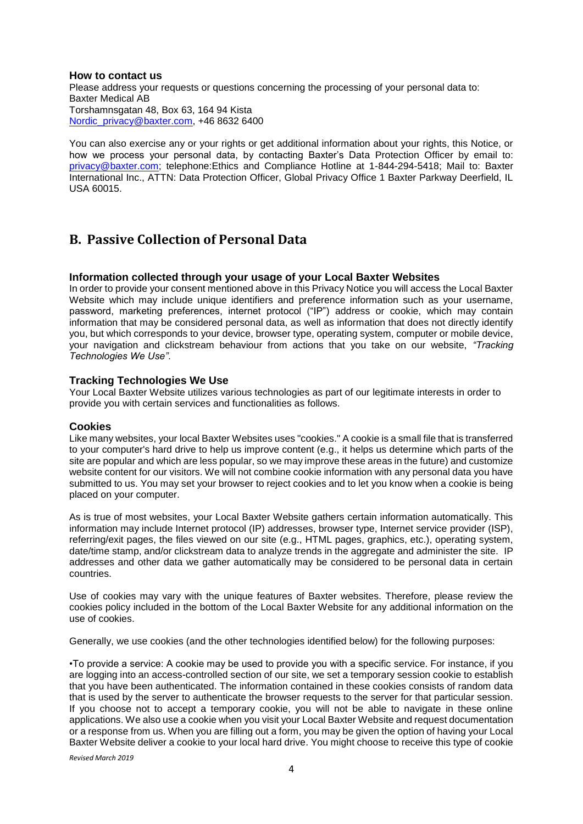#### **How to contact us**

Please address your requests or questions concerning the processing of your personal data to: Baxter Medical AB Torshamnsgatan 48, Box 63, 164 94 Kista [Nordic\\_privacy@baxter.com,](mailto:Nordic_privacy@baxter.com) +46 8632 6400

You can also exercise any or your rights or get additional information about your rights, this Notice, or how we process your personal data, by contacting Baxter's Data Protection Officer by email to: privacy@baxter.com; telephone:Ethics and Compliance Hotline at 1-844-294-5418; Mail to: Baxter International Inc., ATTN: Data Protection Officer, Global Privacy Office 1 Baxter Parkway Deerfield, IL USA 60015.

## **B. Passive Collection of Personal Data**

#### **Information collected through your usage of your Local Baxter Websites**

In order to provide your consent mentioned above in this Privacy Notice you will access the Local Baxter Website which may include unique identifiers and preference information such as your username, password, marketing preferences, internet protocol ("IP") address or cookie, which may contain information that may be considered personal data, as well as information that does not directly identify you, but which corresponds to your device, browser type, operating system, computer or mobile device, your navigation and clickstream behaviour from actions that you take on our website, *"Tracking Technologies We Use"*.

#### **Tracking Technologies We Use**

Your Local Baxter Website utilizes various technologies as part of our legitimate interests in order to provide you with certain services and functionalities as follows.

#### **Cookies**

Like many websites, your local Baxter Websites uses "cookies." A cookie is a small file that is transferred to your computer's hard drive to help us improve content (e.g., it helps us determine which parts of the site are popular and which are less popular, so we may improve these areas in the future) and customize website content for our visitors. We will not combine cookie information with any personal data you have submitted to us. You may set your browser to reject cookies and to let you know when a cookie is being placed on your computer.

As is true of most websites, your Local Baxter Website gathers certain information automatically. This information may include Internet protocol (IP) addresses, browser type, Internet service provider (ISP), referring/exit pages, the files viewed on our site (e.g., HTML pages, graphics, etc.), operating system, date/time stamp, and/or clickstream data to analyze trends in the aggregate and administer the site. IP addresses and other data we gather automatically may be considered to be personal data in certain countries.

Use of cookies may vary with the unique features of Baxter websites. Therefore, please review the cookies policy included in the bottom of the Local Baxter Website for any additional information on the use of cookies.

Generally, we use cookies (and the other technologies identified below) for the following purposes:

•To provide a service: A cookie may be used to provide you with a specific service. For instance, if you are logging into an access-controlled section of our site, we set a temporary session cookie to establish that you have been authenticated. The information contained in these cookies consists of random data that is used by the server to authenticate the browser requests to the server for that particular session. If you choose not to accept a temporary cookie, you will not be able to navigate in these online applications. We also use a cookie when you visit your Local Baxter Website and request documentation or a response from us. When you are filling out a form, you may be given the option of having your Local Baxter Website deliver a cookie to your local hard drive. You might choose to receive this type of cookie

*Revised March 2019*